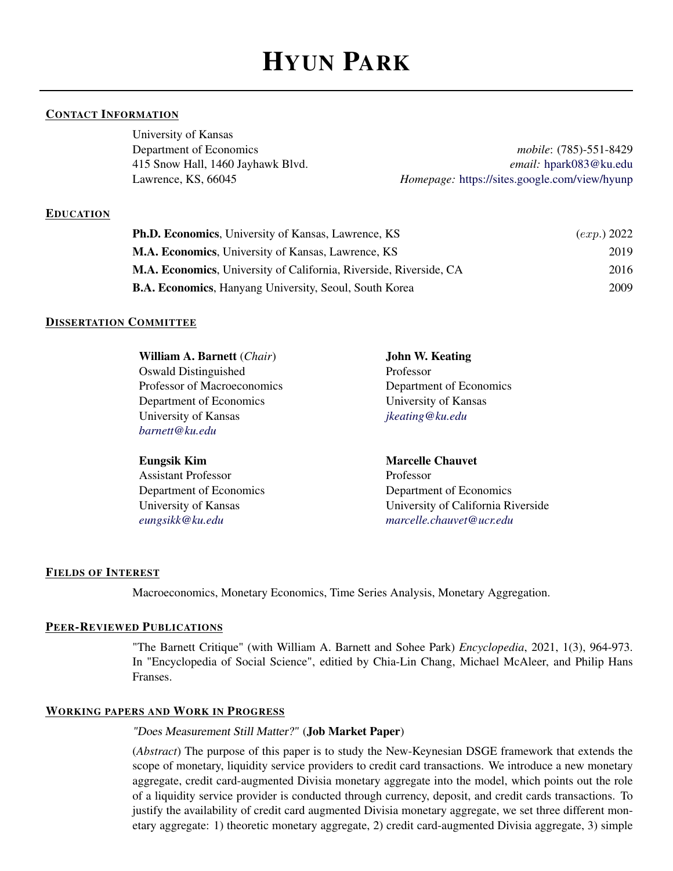# HYUN PARK

## CONTACT INFORMATION

University of Kansas

Department of Economics *mobile*: (785)-551-8429 415 Snow Hall, 1460 Jayhawk Blvd. *email:* [hpark083@ku.edu](mailto:hpark083@ku.edu) Lawrence, KS, 66045 *Homepage:* <https://sites.google.com/view/hyunp>

### EDUCATION

| <b>Ph.D. Economics, University of Kansas, Lawrence, KS</b>         | (exp.) 2022 |
|--------------------------------------------------------------------|-------------|
| M.A. Economics, University of Kansas, Lawrence, KS                 | 2019        |
| M.A. Economics, University of California, Riverside, Riverside, CA | 2016        |
| <b>B.A. Economics, Hanyang University, Seoul, South Korea</b>      | 2009        |

### DISSERTATION COMMITTEE

| <b>William A. Barnett</b> ( <i>Chair</i> ) | <b>John W. Keating</b>  |
|--------------------------------------------|-------------------------|
| Oswald Distinguished                       | Professor               |
| Professor of Macroeconomics                | Department of Economics |
| Department of Economics                    | University of Kansas    |
| University of Kansas                       | jkeating@ku.edu         |
| barnett@ku.edu                             |                         |
|                                            |                         |
| <b>Eungsik Kim</b>                         | <b>Marcelle Chauvet</b> |

Assistant Professor Professor *[eungsikk@ku.edu](mailto:eungsikk@ku.edu) [marcelle.chauvet@ucr.edu](mailto:marcelle.chauvet@ucr.edu)*

Department of Economics Department of Economics University of Kansas University of California Riverside

#### FIELDS OF INTEREST

Macroeconomics, Monetary Economics, Time Series Analysis, Monetary Aggregation.

#### PEER-REVIEWED PUBLICATIONS

"The Barnett Critique" (with William A. Barnett and Sohee Park) *Encyclopedia*, 2021, 1(3), 964-973. In "Encyclopedia of Social Science", editied by Chia-Lin Chang, Michael McAleer, and Philip Hans Franses.

### WORKING PAPERS AND WORK IN PROGRESS

## "Does Measurement Still Matter?" (Job Market Paper)

(*Abstract*) The purpose of this paper is to study the New-Keynesian DSGE framework that extends the scope of monetary, liquidity service providers to credit card transactions. We introduce a new monetary aggregate, credit card-augmented Divisia monetary aggregate into the model, which points out the role of a liquidity service provider is conducted through currency, deposit, and credit cards transactions. To justify the availability of credit card augmented Divisia monetary aggregate, we set three different monetary aggregate: 1) theoretic monetary aggregate, 2) credit card-augmented Divisia aggregate, 3) simple